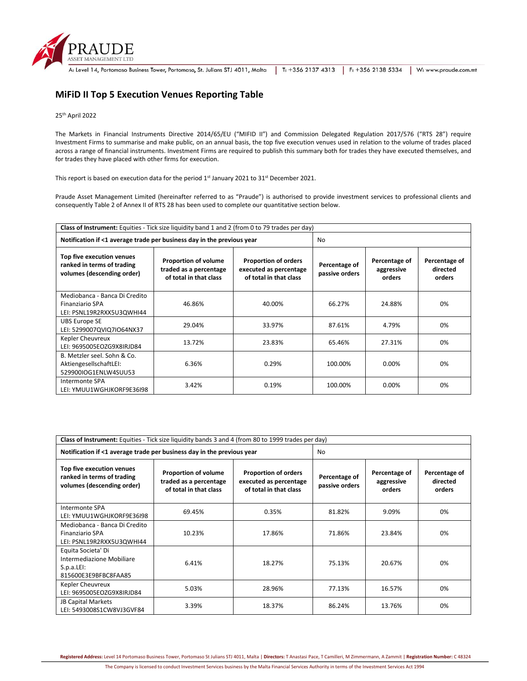

|  | : Level 14, Portomaso Business Tower, Portomaso, St. Julians STJ 4011, Malta   T: +356 2137 4313   F: +356 2138 5334   W: www.praude.com.mt |  |  |  |
|--|---------------------------------------------------------------------------------------------------------------------------------------------|--|--|--|
|--|---------------------------------------------------------------------------------------------------------------------------------------------|--|--|--|

## **MiFiD II Top 5 Execution Venues Reporting Table**

## 25th April 2022

The Markets in Financial Instruments Directive 2014/65/EU ("MIFID II") and Commission Delegated Regulation 2017/576 ("RTS 28") require Investment Firms to summarise and make public, on an annual basis, the top five execution venues used in relation to the volume of trades placed across a range of financial instruments. Investment Firms are required to publish this summary both for trades they have executed themselves, and for trades they have placed with other firms for execution.

This report is based on execution data for the period  $1^{st}$  January 2021 to 31<sup>st</sup> December 2021.

Praude Asset Management Limited (hereinafter referred to as "Praude") is authorised to provide investment services to professional clients and consequently Table 2 of Annex II of RTS 28 has been used to complete our quantitative section below.

| Class of Instrument: Equities - Tick size liquidity band 1 and 2 (from 0 to 79 trades per day) |                                                                                 |                                                                                 |                                 |                                       |                                     |  |
|------------------------------------------------------------------------------------------------|---------------------------------------------------------------------------------|---------------------------------------------------------------------------------|---------------------------------|---------------------------------------|-------------------------------------|--|
| Notification if <1 average trade per business day in the previous year                         |                                                                                 |                                                                                 | No.                             |                                       |                                     |  |
| Top five execution venues<br>ranked in terms of trading<br>volumes (descending order)          | <b>Proportion of volume</b><br>traded as a percentage<br>of total in that class | <b>Proportion of orders</b><br>executed as percentage<br>of total in that class | Percentage of<br>passive orders | Percentage of<br>aggressive<br>orders | Percentage of<br>directed<br>orders |  |
| Mediobanca - Banca Di Credito<br><b>Finanziario SPA</b><br>LEI: PSNL19R2RXX5U3QWHI44           | 46.86%                                                                          | 40.00%                                                                          | 66.27%                          | 24.88%                                | 0%                                  |  |
| <b>UBS Europe SE</b><br>LEI: 5299007QVIQ7IO64NX37                                              | 29.04%                                                                          | 33.97%                                                                          | 87.61%                          | 4.79%                                 | 0%                                  |  |
| Kepler Cheuvreux<br>LEI: 9695005EOZG9X8IRJD84                                                  | 13.72%                                                                          | 23.83%                                                                          | 65.46%                          | 27.31%                                | 0%                                  |  |
| B. Metzler seel. Sohn & Co.<br>AktiengesellschaftLEI:<br>529900IOG1ENLW4SUU53                  | 6.36%                                                                           | 0.29%                                                                           | 100.00%                         | 0.00%                                 | 0%                                  |  |
| Intermonte SPA<br>LEI: YMUU1WGHJKORF9E36I98                                                    | 3.42%                                                                           | 0.19%                                                                           | 100.00%                         | 0.00%                                 | 0%                                  |  |

| Class of Instrument: Equities - Tick size liquidity bands 3 and 4 (from 80 to 1999 trades per day) |                                                                                 |                                                                                 |                                 |                                       |                                     |  |  |
|----------------------------------------------------------------------------------------------------|---------------------------------------------------------------------------------|---------------------------------------------------------------------------------|---------------------------------|---------------------------------------|-------------------------------------|--|--|
| Notification if <1 average trade per business day in the previous year                             | No                                                                              |                                                                                 |                                 |                                       |                                     |  |  |
| Top five execution venues<br>ranked in terms of trading<br>volumes (descending order)              | <b>Proportion of volume</b><br>traded as a percentage<br>of total in that class | <b>Proportion of orders</b><br>executed as percentage<br>of total in that class | Percentage of<br>passive orders | Percentage of<br>aggressive<br>orders | Percentage of<br>directed<br>orders |  |  |
| Intermonte SPA<br>LEI: YMUU1WGHJKORF9E36I98                                                        | 69.45%                                                                          | 0.35%                                                                           | 81.82%                          | 9.09%                                 | 0%                                  |  |  |
| Mediobanca - Banca Di Credito<br><b>Finanziario SPA</b><br>LEI: PSNL19R2RXX5U3QWHI44               | 10.23%                                                                          | 17.86%                                                                          | 71.86%                          | 23.84%                                | 0%                                  |  |  |
| Equita Societa' Di<br>Intermediazione Mobiliare<br>S.p.a.LEI:<br>815600E3E9BFBC8FAA85              | 6.41%                                                                           | 18.27%                                                                          | 75.13%                          | 20.67%                                | 0%                                  |  |  |
| Kepler Cheuvreux<br>LEI: 9695005EOZG9X8IRJD84                                                      | 5.03%                                                                           | 28.96%                                                                          | 77.13%                          | 16.57%                                | 0%                                  |  |  |
| JB Capital Markets<br>LEI: 5493008S1CW8VJ3GVF84                                                    | 3.39%                                                                           | 18.37%                                                                          | 86.24%                          | 13.76%                                | 0%                                  |  |  |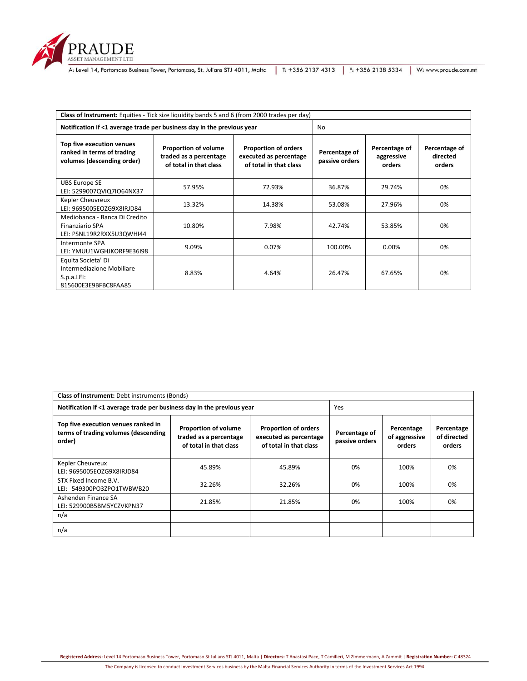

RAUDE<br>ASSET MANAGEMENT LTD<br>A: Level 14, Portomaso Business Tower, Portomaso, St. Julians STJ 4011, Malta | T: +356 2137 4313 | F: +356 2138 5334 | W: www.praude.com.mt

| Class of Instrument: Equities - Tick size liquidity bands 5 and 6 (from 2000 trades per day) |                                                                                 |                                                                                 |                                 |                                       |                                     |  |  |
|----------------------------------------------------------------------------------------------|---------------------------------------------------------------------------------|---------------------------------------------------------------------------------|---------------------------------|---------------------------------------|-------------------------------------|--|--|
| Notification if <1 average trade per business day in the previous year                       | No.                                                                             |                                                                                 |                                 |                                       |                                     |  |  |
| Top five execution venues<br>ranked in terms of trading<br>volumes (descending order)        | <b>Proportion of volume</b><br>traded as a percentage<br>of total in that class | <b>Proportion of orders</b><br>executed as percentage<br>of total in that class | Percentage of<br>passive orders | Percentage of<br>aggressive<br>orders | Percentage of<br>directed<br>orders |  |  |
| <b>UBS Europe SE</b><br>LEI: 5299007QVIQ7IO64NX37                                            | 57.95%                                                                          | 72.93%                                                                          | 36.87%                          | 29.74%                                | 0%                                  |  |  |
| Kepler Cheuvreux<br>LEI: 9695005EOZG9X8IRJD84                                                | 13.32%                                                                          | 14.38%                                                                          | 53.08%                          | 27.96%                                | 0%                                  |  |  |
| Mediobanca - Banca Di Credito<br><b>Finanziario SPA</b><br>LEI: PSNL19R2RXX5U3QWHI44         | 10.80%                                                                          | 7.98%                                                                           | 42.74%                          | 53.85%                                | 0%                                  |  |  |
| Intermonte SPA<br>LEI: YMUU1WGHJKORF9E36I98                                                  | 9.09%                                                                           | 0.07%                                                                           | 100.00%                         | 0.00%                                 | 0%                                  |  |  |
| Equita Societa' Di<br>Intermediazione Mobiliare<br>S.p.a.LE1:<br>815600E3E9BFBC8FAA85        | 8.83%                                                                           | 4.64%                                                                           | 26.47%                          | 67.65%                                | 0%                                  |  |  |

| <b>Class of Instrument: Debt instruments (Bonds)</b>                                                                                                                                                                                                        |        |                                 |                                       |                                     |    |  |  |
|-------------------------------------------------------------------------------------------------------------------------------------------------------------------------------------------------------------------------------------------------------------|--------|---------------------------------|---------------------------------------|-------------------------------------|----|--|--|
| Notification if <1 average trade per business day in the previous year                                                                                                                                                                                      |        | Yes                             |                                       |                                     |    |  |  |
| Top five execution venues ranked in<br><b>Proportion of volume</b><br><b>Proportion of orders</b><br>terms of trading volumes (descending<br>traded as a percentage<br>executed as percentage<br>order)<br>of total in that class<br>of total in that class |        | Percentage of<br>passive orders | Percentage<br>of aggressive<br>orders | Percentage<br>of directed<br>orders |    |  |  |
| Kepler Cheuvreux<br>LEI: 9695005EOZG9X8IRJD84                                                                                                                                                                                                               | 45.89% | 45.89%                          | 0%                                    | 100%                                | 0% |  |  |
| STX Fixed Income B.V.<br>LEI: 549300PO3ZPO1TWBWB20                                                                                                                                                                                                          | 32.26% | 32.26%                          | 0%                                    | 100%                                | 0% |  |  |
| Ashenden Finance SA<br>21.85%<br>21.85%<br>LEI: 529900B5BM5YCZVKPN37                                                                                                                                                                                        |        |                                 | 0%                                    | 100%                                | 0% |  |  |
| n/a                                                                                                                                                                                                                                                         |        |                                 |                                       |                                     |    |  |  |
| n/a                                                                                                                                                                                                                                                         |        |                                 |                                       |                                     |    |  |  |

**Registered Address:** Level 14 Portomaso Business Tower, Portomaso St Julians STJ 4011, Malta | **Directors:** T Anastasi Pace, T Camilleri, M Zimmermann, A Zammit | **Registration Number:** C 48324

The Company is licensed to conduct Investment Services business by the Malta Financial Services Authority in terms of the Investment Services Act 1994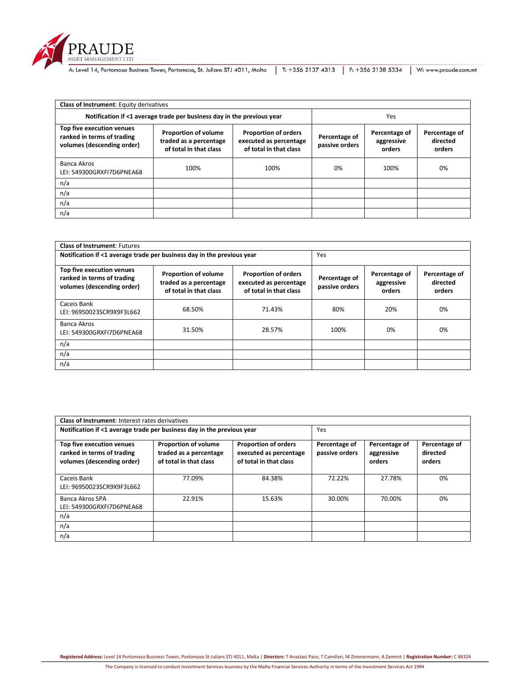

RAUDE<br>ASSET MANAGEMENT LTD<br>A: Level 14, Portomaso Business Tower, Portomaso, St. Julians STJ 4011, Malta | T: +356 2137 4313 | F: +356 2138 5334 | W: www.praude.com.mt

| <b>Class of Instrument: Equity derivatives</b>                                        |                                                                                 |                                                                                 |                                 |                                       |                                     |  |  |
|---------------------------------------------------------------------------------------|---------------------------------------------------------------------------------|---------------------------------------------------------------------------------|---------------------------------|---------------------------------------|-------------------------------------|--|--|
| Notification if <1 average trade per business day in the previous year                | Yes                                                                             |                                                                                 |                                 |                                       |                                     |  |  |
| Top five execution venues<br>ranked in terms of trading<br>volumes (descending order) | <b>Proportion of volume</b><br>traded as a percentage<br>of total in that class | <b>Proportion of orders</b><br>executed as percentage<br>of total in that class | Percentage of<br>passive orders | Percentage of<br>aggressive<br>orders | Percentage of<br>directed<br>orders |  |  |
| <b>Banca Akros</b><br>LEI: 549300GRXFI7D6PNEA68                                       | 100%                                                                            | 100%                                                                            | 0%                              | 100%                                  | 0%                                  |  |  |
| n/a                                                                                   |                                                                                 |                                                                                 |                                 |                                       |                                     |  |  |
| n/a                                                                                   |                                                                                 |                                                                                 |                                 |                                       |                                     |  |  |
| n/a                                                                                   |                                                                                 |                                                                                 |                                 |                                       |                                     |  |  |
| n/a                                                                                   |                                                                                 |                                                                                 |                                 |                                       |                                     |  |  |

| <b>Class of Instrument: Futures</b>                                                   |                                                                                 |                                                                                 |                                 |                                       |                                     |  |  |
|---------------------------------------------------------------------------------------|---------------------------------------------------------------------------------|---------------------------------------------------------------------------------|---------------------------------|---------------------------------------|-------------------------------------|--|--|
| Notification if <1 average trade per business day in the previous year                | Yes                                                                             |                                                                                 |                                 |                                       |                                     |  |  |
| Top five execution venues<br>ranked in terms of trading<br>volumes (descending order) | <b>Proportion of volume</b><br>traded as a percentage<br>of total in that class | <b>Proportion of orders</b><br>executed as percentage<br>of total in that class | Percentage of<br>passive orders | Percentage of<br>aggressive<br>orders | Percentage of<br>directed<br>orders |  |  |
| Caceis Bank<br>LEI: 96950023SCR9X9F3L662                                              | 68.50%                                                                          | 71.43%                                                                          | 80%                             | 20%                                   | 0%                                  |  |  |
| Banca Akros<br>LEI: 549300GRXFI7D6PNEA68                                              | 31.50%                                                                          | 28.57%                                                                          | 100%                            | 0%                                    | 0%                                  |  |  |
| n/a                                                                                   |                                                                                 |                                                                                 |                                 |                                       |                                     |  |  |
| n/a                                                                                   |                                                                                 |                                                                                 |                                 |                                       |                                     |  |  |
| n/a                                                                                   |                                                                                 |                                                                                 |                                 |                                       |                                     |  |  |

| Class of Instrument: Interest rates derivatives                                       |                                                                                 |                                                                                 |                                 |                                       |                                     |  |  |  |
|---------------------------------------------------------------------------------------|---------------------------------------------------------------------------------|---------------------------------------------------------------------------------|---------------------------------|---------------------------------------|-------------------------------------|--|--|--|
| Notification if <1 average trade per business day in the previous year                |                                                                                 |                                                                                 | Yes                             |                                       |                                     |  |  |  |
| Top five execution venues<br>ranked in terms of trading<br>volumes (descending order) | <b>Proportion of volume</b><br>traded as a percentage<br>of total in that class | <b>Proportion of orders</b><br>executed as percentage<br>of total in that class | Percentage of<br>passive orders | Percentage of<br>aggressive<br>orders | Percentage of<br>directed<br>orders |  |  |  |
| Caceis Bank<br>LEI: 96950023SCR9X9F3L662                                              | 77.09%                                                                          | 84.38%                                                                          | 72.22%                          | 27.78%                                | 0%                                  |  |  |  |
| Banca Akros SPA<br>LEI: 549300GRXFI7D6PNEA68                                          | 22.91%                                                                          | 15.63%                                                                          | 30.00%                          | 70.00%                                | 0%                                  |  |  |  |
| n/a                                                                                   |                                                                                 |                                                                                 |                                 |                                       |                                     |  |  |  |
| n/a                                                                                   |                                                                                 |                                                                                 |                                 |                                       |                                     |  |  |  |
| n/a                                                                                   |                                                                                 |                                                                                 |                                 |                                       |                                     |  |  |  |

**Registered Address:** Level 14 Portomaso Business Tower, Portomaso St Julians STJ 4011, Malta | **Directors:** T Anastasi Pace, T Camilleri, M Zimmermann, A Zammit | **Registration Number:** C 48324